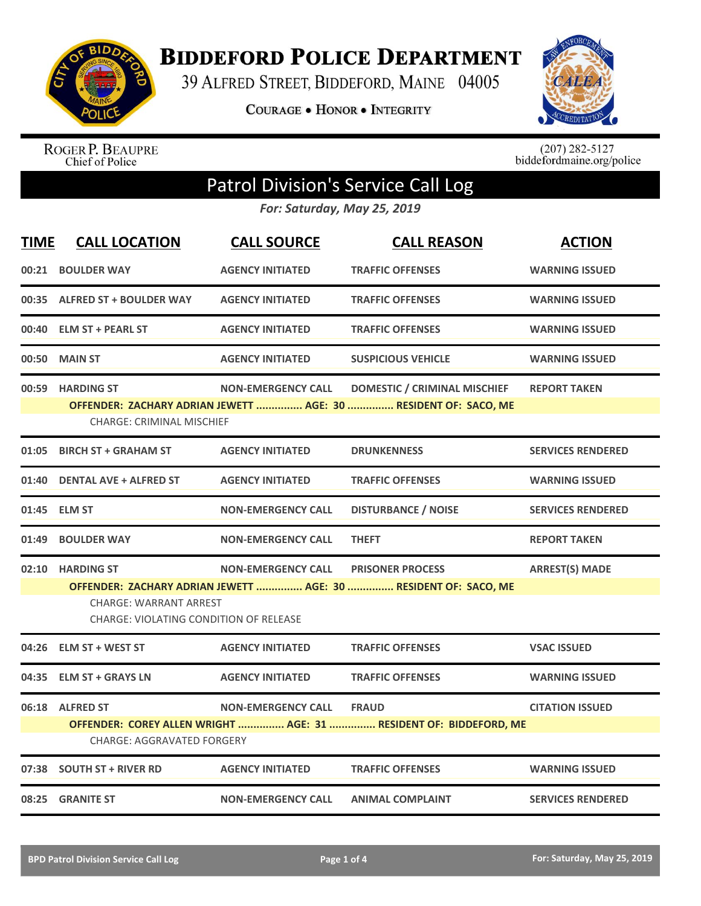

**BIDDEFORD POLICE DEPARTMENT** 

39 ALFRED STREET, BIDDEFORD, MAINE 04005

COURAGE . HONOR . INTEGRITY



ROGER P. BEAUPRE<br>Chief of Police

 $(207)$  282-5127<br>biddefordmaine.org/police

## Patrol Division's Service Call Log

*For: Saturday, May 25, 2019*

| <b>TIME</b> | <b>CALL LOCATION</b>                                                                 | <b>CALL SOURCE</b>        | <b>CALL REASON</b>                                                                                     | <b>ACTION</b>            |
|-------------|--------------------------------------------------------------------------------------|---------------------------|--------------------------------------------------------------------------------------------------------|--------------------------|
|             | 00:21 BOULDER WAY                                                                    | <b>AGENCY INITIATED</b>   | <b>TRAFFIC OFFENSES</b>                                                                                | <b>WARNING ISSUED</b>    |
|             | 00:35 ALFRED ST + BOULDER WAY                                                        | <b>AGENCY INITIATED</b>   | <b>TRAFFIC OFFENSES</b>                                                                                | <b>WARNING ISSUED</b>    |
|             | 00:40 ELM ST + PEARL ST                                                              | <b>AGENCY INITIATED</b>   | <b>TRAFFIC OFFENSES</b>                                                                                | <b>WARNING ISSUED</b>    |
|             | 00:50 MAIN ST                                                                        | <b>AGENCY INITIATED</b>   | <b>SUSPICIOUS VEHICLE</b>                                                                              | <b>WARNING ISSUED</b>    |
|             | 00:59 HARDING ST<br><b>CHARGE: CRIMINAL MISCHIEF</b>                                 | <b>NON-EMERGENCY CALL</b> | <b>DOMESTIC / CRIMINAL MISCHIEF</b><br>OFFENDER: ZACHARY ADRIAN JEWETT  AGE: 30  RESIDENT OF: SACO, ME | <b>REPORT TAKEN</b>      |
|             | 01:05 BIRCH ST + GRAHAM ST                                                           | <b>AGENCY INITIATED</b>   | <b>DRUNKENNESS</b>                                                                                     | <b>SERVICES RENDERED</b> |
|             | 01:40 DENTAL AVE + ALFRED ST                                                         | <b>AGENCY INITIATED</b>   | <b>TRAFFIC OFFENSES</b>                                                                                | <b>WARNING ISSUED</b>    |
|             | 01:45 ELM ST                                                                         | <b>NON-EMERGENCY CALL</b> | <b>DISTURBANCE / NOISE</b>                                                                             | <b>SERVICES RENDERED</b> |
|             | 01:49 BOULDER WAY                                                                    | <b>NON-EMERGENCY CALL</b> | <b>THEFT</b>                                                                                           | <b>REPORT TAKEN</b>      |
|             | 02:10 HARDING ST<br>CHARGE: WARRANT ARREST<br>CHARGE: VIOLATING CONDITION OF RELEASE | <b>NON-EMERGENCY CALL</b> | <b>PRISONER PROCESS</b><br>OFFENDER: ZACHARY ADRIAN JEWETT  AGE: 30  RESIDENT OF: SACO, ME             | <b>ARREST(S) MADE</b>    |
|             | 04:26 ELM ST + WEST ST                                                               | <b>AGENCY INITIATED</b>   | <b>TRAFFIC OFFENSES</b>                                                                                | <b>VSAC ISSUED</b>       |
| 04:35       | <b>ELM ST + GRAYS LN</b>                                                             | <b>AGENCY INITIATED</b>   | <b>TRAFFIC OFFENSES</b>                                                                                | <b>WARNING ISSUED</b>    |
|             | 06:18 ALFRED ST<br><b>CHARGE: AGGRAVATED FORGERY</b>                                 | <b>NON-EMERGENCY CALL</b> | <b>FRAUD</b><br>OFFENDER: COREY ALLEN WRIGHT  AGE: 31  RESIDENT OF: BIDDEFORD, ME                      | <b>CITATION ISSUED</b>   |
|             | 07:38 SOUTH ST + RIVER RD                                                            | <b>AGENCY INITIATED</b>   | <b>TRAFFIC OFFENSES</b>                                                                                | <b>WARNING ISSUED</b>    |
|             | 08:25 GRANITE ST                                                                     | <b>NON-EMERGENCY CALL</b> | <b>ANIMAL COMPLAINT</b>                                                                                | <b>SERVICES RENDERED</b> |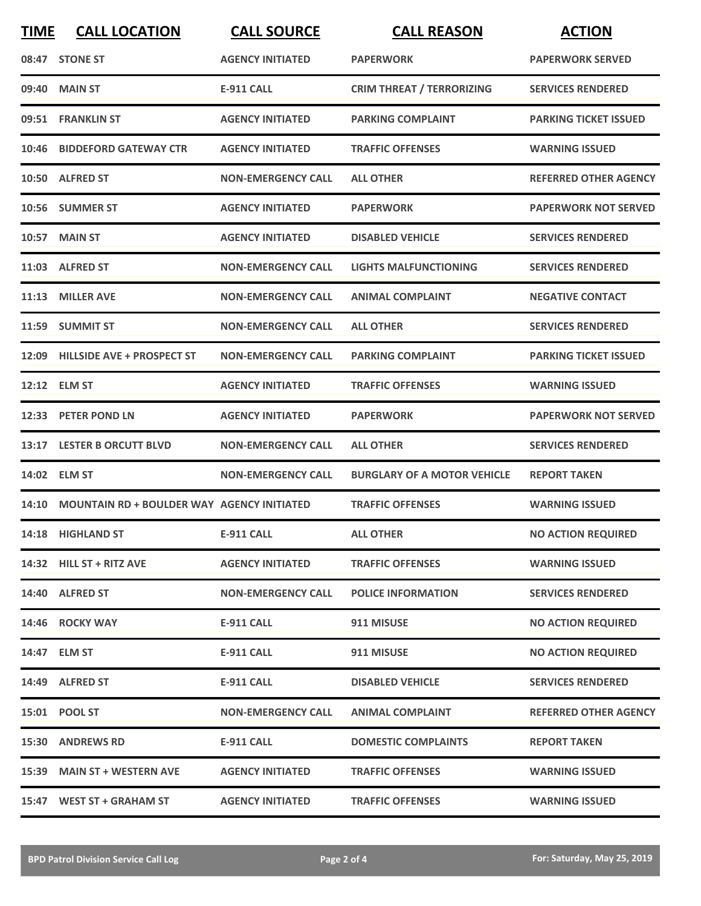| <b>TIME</b> | <b>CALL LOCATION</b>                             | <b>CALL SOURCE</b>        | <b>CALL REASON</b>                 | <b>ACTION</b>                |
|-------------|--------------------------------------------------|---------------------------|------------------------------------|------------------------------|
|             | 08:47 STONE ST                                   | <b>AGENCY INITIATED</b>   | <b>PAPERWORK</b>                   | <b>PAPERWORK SERVED</b>      |
| 09:40       | <b>MAIN ST</b>                                   | <b>E-911 CALL</b>         | <b>CRIM THREAT / TERRORIZING</b>   | <b>SERVICES RENDERED</b>     |
|             | 09:51 FRANKLIN ST                                | <b>AGENCY INITIATED</b>   | <b>PARKING COMPLAINT</b>           | <b>PARKING TICKET ISSUED</b> |
|             | 10:46 BIDDEFORD GATEWAY CTR                      | <b>AGENCY INITIATED</b>   | <b>TRAFFIC OFFENSES</b>            | <b>WARNING ISSUED</b>        |
|             | 10:50 ALFRED ST                                  | <b>NON-EMERGENCY CALL</b> | <b>ALL OTHER</b>                   | <b>REFERRED OTHER AGENCY</b> |
|             | 10:56 SUMMER ST                                  | <b>AGENCY INITIATED</b>   | <b>PAPERWORK</b>                   | <b>PAPERWORK NOT SERVED</b>  |
| 10:57       | <b>MAIN ST</b>                                   | <b>AGENCY INITIATED</b>   | <b>DISABLED VEHICLE</b>            | <b>SERVICES RENDERED</b>     |
|             | 11:03 ALFRED ST                                  | <b>NON-EMERGENCY CALL</b> | <b>LIGHTS MALFUNCTIONING</b>       | <b>SERVICES RENDERED</b>     |
| 11:13       | <b>MILLER AVE</b>                                | <b>NON-EMERGENCY CALL</b> | <b>ANIMAL COMPLAINT</b>            | <b>NEGATIVE CONTACT</b>      |
|             | 11:59 SUMMIT ST                                  | <b>NON-EMERGENCY CALL</b> | <b>ALL OTHER</b>                   | <b>SERVICES RENDERED</b>     |
|             | 12:09 HILLSIDE AVE + PROSPECT ST                 | <b>NON-EMERGENCY CALL</b> | <b>PARKING COMPLAINT</b>           | <b>PARKING TICKET ISSUED</b> |
|             | 12:12 ELM ST                                     | <b>AGENCY INITIATED</b>   | <b>TRAFFIC OFFENSES</b>            | <b>WARNING ISSUED</b>        |
|             | 12:33 PETER POND LN                              | <b>AGENCY INITIATED</b>   | <b>PAPERWORK</b>                   | <b>PAPERWORK NOT SERVED</b>  |
|             | 13:17 LESTER B ORCUTT BLVD                       | <b>NON-EMERGENCY CALL</b> | <b>ALL OTHER</b>                   | <b>SERVICES RENDERED</b>     |
| 14:02       | <b>ELM ST</b>                                    | <b>NON-EMERGENCY CALL</b> | <b>BURGLARY OF A MOTOR VEHICLE</b> | <b>REPORT TAKEN</b>          |
|             | 14:10 MOUNTAIN RD + BOULDER WAY AGENCY INITIATED |                           | <b>TRAFFIC OFFENSES</b>            | <b>WARNING ISSUED</b>        |
|             | 14:18 HIGHLAND ST                                | <b>E-911 CALL</b>         | <b>ALL OTHER</b>                   | <b>NO ACTION REQUIRED</b>    |
|             | 14:32 HILL ST + RITZ AVE                         | <b>AGENCY INITIATED</b>   | <b>TRAFFIC OFFENSES</b>            | <b>WARNING ISSUED</b>        |
|             | 14:40 ALFRED ST                                  | <b>NON-EMERGENCY CALL</b> | <b>POLICE INFORMATION</b>          | <b>SERVICES RENDERED</b>     |
|             | 14:46 ROCKY WAY                                  | <b>E-911 CALL</b>         | 911 MISUSE                         | <b>NO ACTION REQUIRED</b>    |
|             | 14:47 ELM ST                                     | <b>E-911 CALL</b>         | 911 MISUSE                         | <b>NO ACTION REQUIRED</b>    |
|             | 14:49 ALFRED ST                                  | E-911 CALL                | <b>DISABLED VEHICLE</b>            | <b>SERVICES RENDERED</b>     |
|             | 15:01 POOL ST                                    | <b>NON-EMERGENCY CALL</b> | <b>ANIMAL COMPLAINT</b>            | <b>REFERRED OTHER AGENCY</b> |
|             | 15:30 ANDREWS RD                                 | <b>E-911 CALL</b>         | <b>DOMESTIC COMPLAINTS</b>         | <b>REPORT TAKEN</b>          |
|             | 15:39 MAIN ST + WESTERN AVE                      | <b>AGENCY INITIATED</b>   | <b>TRAFFIC OFFENSES</b>            | <b>WARNING ISSUED</b>        |
|             | 15:47 WEST ST + GRAHAM ST                        | <b>AGENCY INITIATED</b>   | <b>TRAFFIC OFFENSES</b>            | <b>WARNING ISSUED</b>        |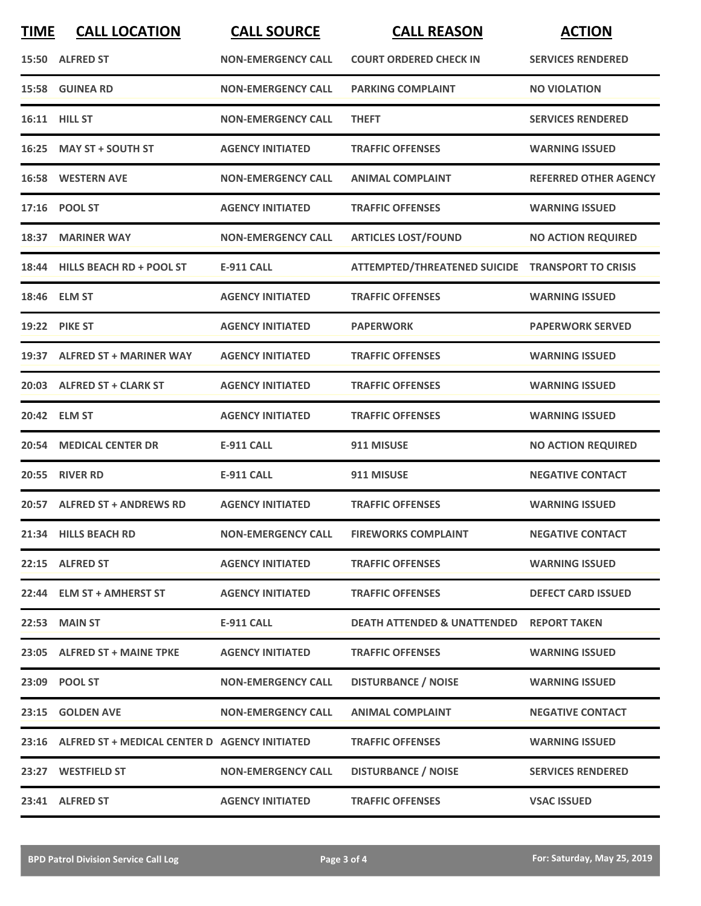| <b>TIME</b> | <b>CALL LOCATION</b>                                | <b>CALL SOURCE</b>        | <b>CALL REASON</b>                                  | <b>ACTION</b>                |
|-------------|-----------------------------------------------------|---------------------------|-----------------------------------------------------|------------------------------|
|             | 15:50 ALFRED ST                                     | <b>NON-EMERGENCY CALL</b> | <b>COURT ORDERED CHECK IN</b>                       | <b>SERVICES RENDERED</b>     |
|             | 15:58 GUINEA RD                                     | <b>NON-EMERGENCY CALL</b> | <b>PARKING COMPLAINT</b>                            | <b>NO VIOLATION</b>          |
|             | 16:11 HILL ST                                       | <b>NON-EMERGENCY CALL</b> | <b>THEFT</b>                                        | <b>SERVICES RENDERED</b>     |
|             | 16:25 MAY ST + SOUTH ST                             | <b>AGENCY INITIATED</b>   | <b>TRAFFIC OFFENSES</b>                             | <b>WARNING ISSUED</b>        |
|             | <b>16:58 WESTERN AVE</b>                            | <b>NON-EMERGENCY CALL</b> | <b>ANIMAL COMPLAINT</b>                             | <b>REFERRED OTHER AGENCY</b> |
|             | 17:16 POOL ST                                       | <b>AGENCY INITIATED</b>   | <b>TRAFFIC OFFENSES</b>                             | <b>WARNING ISSUED</b>        |
| 18:37       | <b>MARINER WAY</b>                                  | <b>NON-EMERGENCY CALL</b> | <b>ARTICLES LOST/FOUND</b>                          | <b>NO ACTION REQUIRED</b>    |
|             | 18:44 HILLS BEACH RD + POOL ST                      | <b>E-911 CALL</b>         | ATTEMPTED/THREATENED SUICIDE TRANSPORT TO CRISIS    |                              |
|             | 18:46 ELM ST                                        | <b>AGENCY INITIATED</b>   | <b>TRAFFIC OFFENSES</b>                             | <b>WARNING ISSUED</b>        |
|             | <b>19:22 PIKE ST</b>                                | <b>AGENCY INITIATED</b>   | <b>PAPERWORK</b>                                    | <b>PAPERWORK SERVED</b>      |
|             | 19:37 ALFRED ST + MARINER WAY                       | <b>AGENCY INITIATED</b>   | <b>TRAFFIC OFFENSES</b>                             | <b>WARNING ISSUED</b>        |
|             | 20:03 ALFRED ST + CLARK ST                          | <b>AGENCY INITIATED</b>   | <b>TRAFFIC OFFENSES</b>                             | <b>WARNING ISSUED</b>        |
|             | 20:42 ELM ST                                        | <b>AGENCY INITIATED</b>   | <b>TRAFFIC OFFENSES</b>                             | <b>WARNING ISSUED</b>        |
| 20:54       | <b>MEDICAL CENTER DR</b>                            | <b>E-911 CALL</b>         | 911 MISUSE                                          | <b>NO ACTION REQUIRED</b>    |
| 20:55       | <b>RIVER RD</b>                                     | <b>E-911 CALL</b>         | 911 MISUSE                                          | <b>NEGATIVE CONTACT</b>      |
|             | 20:57 ALFRED ST + ANDREWS RD                        | <b>AGENCY INITIATED</b>   | <b>TRAFFIC OFFENSES</b>                             | <b>WARNING ISSUED</b>        |
|             | 21:34 HILLS BEACH RD                                |                           | NON-EMERGENCY CALL FIREWORKS COMPLAINT              | <b>NEGATIVE CONTACT</b>      |
|             | 22:15 ALFRED ST                                     | <b>AGENCY INITIATED</b>   | <b>TRAFFIC OFFENSES</b>                             | <b>WARNING ISSUED</b>        |
|             | 22:44 ELM ST + AMHERST ST                           | <b>AGENCY INITIATED</b>   | <b>TRAFFIC OFFENSES</b>                             | <b>DEFECT CARD ISSUED</b>    |
|             | 22:53 MAIN ST                                       | <b>E-911 CALL</b>         | <b>DEATH ATTENDED &amp; UNATTENDED REPORT TAKEN</b> |                              |
|             | 23:05 ALFRED ST + MAINE TPKE                        | <b>AGENCY INITIATED</b>   | <b>TRAFFIC OFFENSES</b>                             | <b>WARNING ISSUED</b>        |
|             | 23:09 POOL ST                                       | <b>NON-EMERGENCY CALL</b> | <b>DISTURBANCE / NOISE</b>                          | <b>WARNING ISSUED</b>        |
|             | 23:15 GOLDEN AVE                                    | <b>NON-EMERGENCY CALL</b> | <b>ANIMAL COMPLAINT</b>                             | <b>NEGATIVE CONTACT</b>      |
|             | 23:16 ALFRED ST + MEDICAL CENTER D AGENCY INITIATED |                           | <b>TRAFFIC OFFENSES</b>                             | <b>WARNING ISSUED</b>        |
|             | 23:27 WESTFIELD ST                                  | <b>NON-EMERGENCY CALL</b> | <b>DISTURBANCE / NOISE</b>                          | <b>SERVICES RENDERED</b>     |
|             | 23:41 ALFRED ST                                     | <b>AGENCY INITIATED</b>   | <b>TRAFFIC OFFENSES</b>                             | <b>VSAC ISSUED</b>           |